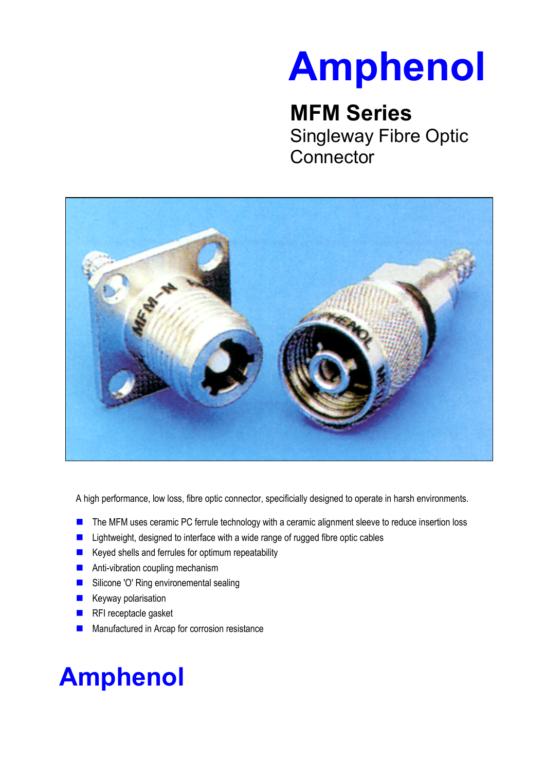# **Amphenol**

### **MFM Series**

Singleway Fibre Optic **Connector** 



A high performance, low loss, fibre optic connector, specificially designed to operate in harsh environments.

- The MFM uses ceramic PC ferrule technology with a ceramic alignment sleeve to reduce insertion loss
- Lightweight, designed to interface with a wide range of rugged fibre optic cables
- $\blacksquare$  Keyed shells and ferrules for optimum repeatability
- **Anti-vibration coupling mechanism**
- Silicone 'O' Ring environemental sealing
- **Keyway polarisation**
- RFI receptacle gasket
- **Manufactured in Arcap for corrosion resistance**

## **Amphenol**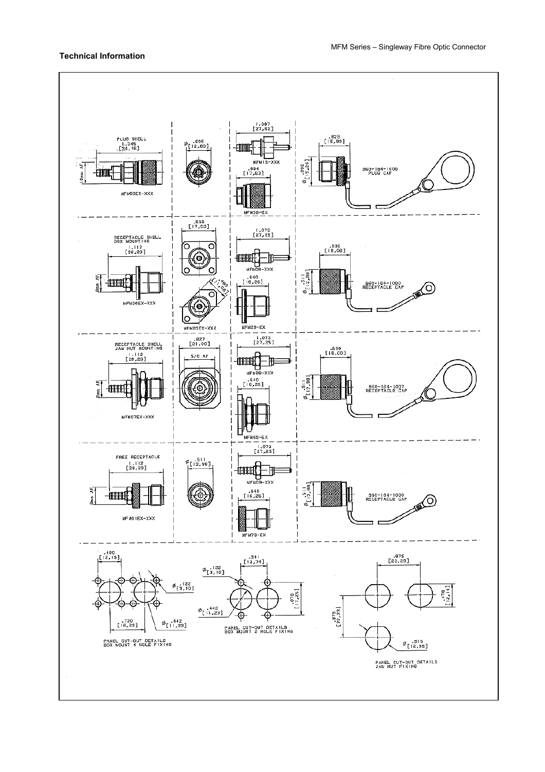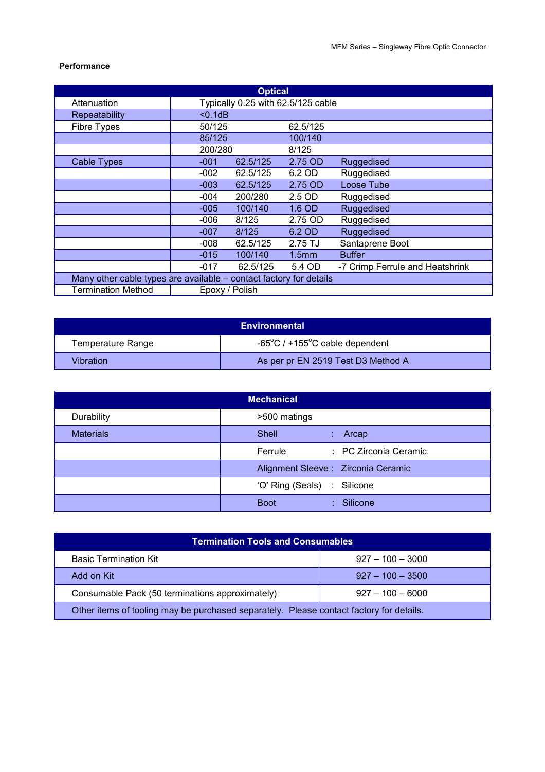#### **Performance**

| <b>Optical</b>                                                     |                |          |                                    |                                 |  |  |  |
|--------------------------------------------------------------------|----------------|----------|------------------------------------|---------------------------------|--|--|--|
| Attenuation                                                        |                |          | Typically 0.25 with 62.5/125 cable |                                 |  |  |  |
| Repeatability                                                      | $0.1dB$        |          |                                    |                                 |  |  |  |
| <b>Fibre Types</b>                                                 | 50/125         |          | 62.5/125                           |                                 |  |  |  |
|                                                                    | 85/125         |          | 100/140                            |                                 |  |  |  |
|                                                                    | 200/280        |          | 8/125                              |                                 |  |  |  |
| <b>Cable Types</b>                                                 | $-001$         | 62.5/125 | 2.75 OD                            | Ruggedised                      |  |  |  |
|                                                                    | $-002$         | 62.5/125 | 6.2 OD                             | Ruggedised                      |  |  |  |
|                                                                    | $-003$         | 62.5/125 | 2.75 OD                            | Loose Tube                      |  |  |  |
|                                                                    | $-004$         | 200/280  | 2.5 OD                             | Ruggedised                      |  |  |  |
|                                                                    | $-005$         | 100/140  | 1.6 OD                             | <b>Ruggedised</b>               |  |  |  |
|                                                                    | $-006$         | 8/125    | 2.75 OD                            | Ruggedised                      |  |  |  |
|                                                                    | $-007$         | 8/125    | 6.2 OD                             | Ruggedised                      |  |  |  |
|                                                                    | $-008$         | 62.5/125 | 2.75 TJ                            | Santaprene Boot                 |  |  |  |
|                                                                    | $-015$         | 100/140  | 1.5 <sub>mm</sub>                  | <b>Buffer</b>                   |  |  |  |
|                                                                    | $-017$         | 62.5/125 | 5.4 OD                             | -7 Crimp Ferrule and Heatshrink |  |  |  |
| Many other cable types are available – contact factory for details |                |          |                                    |                                 |  |  |  |
| <b>Termination Method</b>                                          | Epoxy / Polish |          |                                    |                                 |  |  |  |

| <b>Environmental</b> |                                                      |  |  |  |
|----------------------|------------------------------------------------------|--|--|--|
| Temperature Range    | -65 $^{\circ}$ C / +155 $^{\circ}$ C cable dependent |  |  |  |
| Vibration            | As per pr EN 2519 Test D3 Method A                   |  |  |  |

| <b>Mechanical</b> |                                      |  |  |  |  |
|-------------------|--------------------------------------|--|--|--|--|
| Durability        | >500 matings                         |  |  |  |  |
| <b>Materials</b>  | Shell<br>$:$ Arcap                   |  |  |  |  |
|                   | : PC Zirconia Ceramic<br>Ferrule     |  |  |  |  |
|                   | Alignment Sleeve : Zirconia Ceramic  |  |  |  |  |
|                   | 'O' Ring (Seals) : Silicone          |  |  |  |  |
|                   | <b>Boot</b><br>$\therefore$ Silicone |  |  |  |  |

| <b>Termination Tools and Consumables</b>                                                |                      |  |  |  |  |
|-----------------------------------------------------------------------------------------|----------------------|--|--|--|--|
| <b>Basic Termination Kit</b>                                                            | $927 - 100 - 3000$   |  |  |  |  |
| Add on Kit                                                                              | $.927 - 100 - .3500$ |  |  |  |  |
| Consumable Pack (50 terminations approximately)                                         | $927 - 100 - 6000$   |  |  |  |  |
| Other items of tooling may be purchased separately. Please contact factory for details. |                      |  |  |  |  |